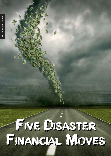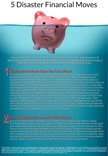## 5 Disaster Financial Moves



If you avoid these 5 disaster financial moves, you should have a good chance of If you avoid these 5 disaster financial moves, you should have a good chance of becoming prosperous and hitting your goals. If you have made one of these already, it becoming prosperous and hitting your goals. If you have made one of these already, it may be time to come see us to show you how to get back on track. may be time to come see us to show you how to get back on track.

This is our top one as it will truly cripple your long term financial plan. Years ago, we heard of a very This is our top one as it will truly cripple your long term financial plan. Years ago, we heard of a very simple financial ratio called the primary obligation ratio which said that your mortgage payment simple financial ratio called the primary obligation ratio which said that your mortgage payment shouldn't be much more than 28% to 34% of your total gross monthly income. Use that statistic in shouldn't be much more than 28% to 34% of your total gross monthly income. Use that statistic in conjunction with putting 20% down on your home purchase and you will typically avoid this number one conjunction with putting 20% down on your home purchase and you will typically avoid this number one financial disaster. It is impossible to squeeze into a home financially like you would a car or some other financial disaster. It is impossible to squeeze into a home financially like you would a car or some other one time purchase. Many people forget the cost of furnishing the house which can run 5% to 15% of the one time purchase. Many people forget the cost of furnishing the house which can run 5% to 15% of the home value depending on your taste. While most people think that they can 'fill' their home over the home value depending on your taste. While most people think that they can 'fill' their home over the rest of their lives, the truth is people work hard to fill up their unfinished homes compounding their rest of their lives, the truth is people work hard to fill up their unfinished homes compounding their initially bad decision. In addition, you should estimate that basic upkeep of your home will be 2% to 4% initially bad decision. In addition, you should estimate that basic upkeep of your home will be 2% to 4% annually. This goes from landscaping, to a blown water heater, or just painting rooms again. Many annually. This goes from landscaping, to a blown water heater, or just painting rooms again. Many people do not put these costs into their budget when they figure their mortgage payment. Last, for the people do not put these costs into their budget when they figure their mortgage payment. Last, for the newly married couple that has two incomes, you should consider what will happen when you have your newly married couple that has two incomes, you should consider what will happen when you have your first child. In many cases, one spouse decides to stay home after the birth of a first child. Beyond the new first child. In many cases, one spouse decides to stay home after the birth of a first child. Beyond the new kid expenditures, the budget takes a huge hit with one less income. kid expenditures, the budget takes a huge hit with one less income. Than You Can Afford 1<br>This is our top one as it will truly cripple your long term financial plan<br>simple financial ratio called the primary obligation ratio which said t

Sure you will hear the story of some guy who invested in a start up technology company, a newly developed building, or some fancy new gadget who made a boatload of money. However, for the regular developed building, or some fancy new gadget who made a boatload of money. However, for the regular guys and gals who put money into a friend's start up restaurant, a piece of land they never saw, or a few guys and gals who put money into a friend's start up restaurant, a piece of land they never saw, or a few shares in a new company it generally doesn't work out in the long run. The odds of cashing in a private shares in a new company it generally doesn't work out in the long run. The odds of cashing in a private equity investment are very slim. Less than 5% of the time does money actually come out the back end of equity investment are very slim. Less than 5% of the time does money actually come out the back end of the investment, with more often the result being a loss of all of the money. Here is our simple rule: If you the investment, with more often the result being a loss of all of the money. Here is our simple rule: If you aren't going to be actively involved in the business as an owner stay away. Unless of course you want to aren't going to be actively involved in the business as an owner stay away. Unless of course you want to lose your money or have it take 10 years longer than you thought to try and get it back. lose your money or have it take 10 years longer than you thought to try and get it back. **Private Equity Investments With Friends**<br>Sure you will hear the story of some guy who invested in a start up technology company, a newly<br>developed building, or some fancy new gadget who made a boatload of money. However,

CONTENT IS DEVELOPED FROM SOURCES BELIEVED TO BE PROVIDING ACCURATE INFORMATION. THE INFORMATION IN THIS MATERIAL IS NOT INTENDED AS TAX OF<br>AL ADVICE. IT MAY NOT BE USED FOR THE PURPOSE OF AVOIDING ANY FEDERAL TAX PENALTIE OR THE PURPOSE OF AVOIDING ANY FEDERAL TAX PENALTIES. PLEASE CONSULT LEGAL OR TAX PROFESSIONALS FOR SPEC<br>'IDUAL SITUATION. THIS MATERIAL WAS DEVELOPED AND PRODUCED BY HELLO MY NAME IS, LLC TO PROVIDE INFORMATION C<br>THE OP INFORMATION REGARDING YOUR INDIVIDUAL SITUATION. THIS MATERIAL WAS DEVELOPED AND PRODUCED BY HELLO MY NAME IS, LLC TO PROVIDE INFORMATION ON A<br>TOPIC THAT MAY BE ON INTEREST. THE OPINIONS EXPRESSED AND MATERIAL PROVIDED ARE SOLICITATION FOR THE PURCHASE OR SALE OF ANY SECURITY. COPYRIGHT 2014 HELLO MY NAME IS, LLC.